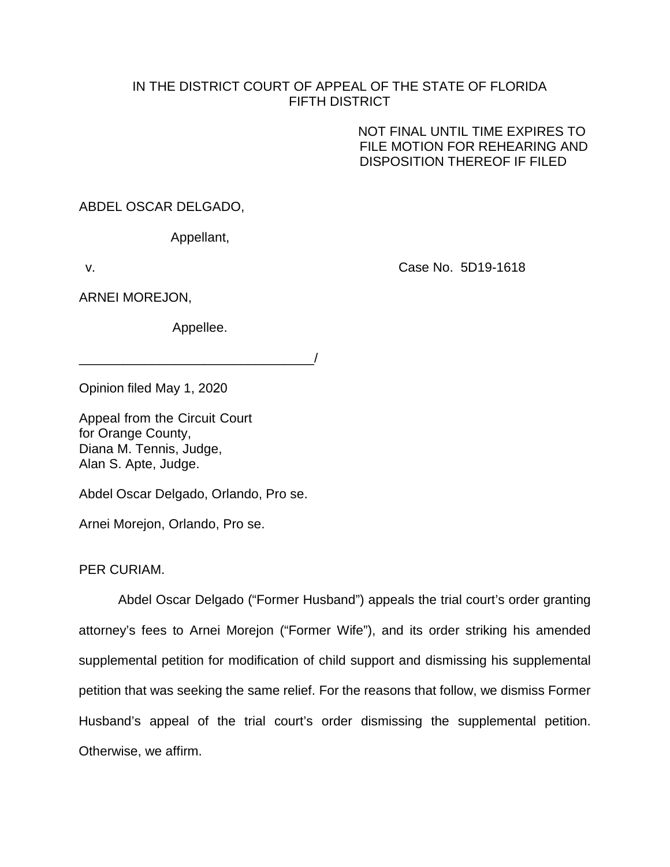## IN THE DISTRICT COURT OF APPEAL OF THE STATE OF FLORIDA FIFTH DISTRICT

NOT FINAL UNTIL TIME EXPIRES TO FILE MOTION FOR REHEARING AND DISPOSITION THEREOF IF FILED

ABDEL OSCAR DELGADO,

Appellant,

v.

Case No. 5D19-1618

ARNEI MOREJON,

Appellee.

\_\_\_\_\_\_\_\_\_\_\_\_\_\_\_\_\_\_\_\_\_\_\_\_\_\_\_\_\_\_\_\_/

Opinion filed May 1, 2020

Appeal from the Circuit Court for Orange County, Diana M. Tennis, Judge, Alan S. Apte, Judge.

Abdel Oscar Delgado, Orlando, Pro se.

Arnei Morejon, Orlando, Pro se.

PER CURIAM.

Abdel Oscar Delgado ("Former Husband") appeals the trial court's order granting attorney's fees to Arnei Morejon ("Former Wife"), and its order striking his amended supplemental petition for modification of child support and dismissing his supplemental petition that was seeking the same relief. For the reasons that follow, we dismiss Former Husband's appeal of the trial court's order dismissing the supplemental petition. Otherwise, we affirm.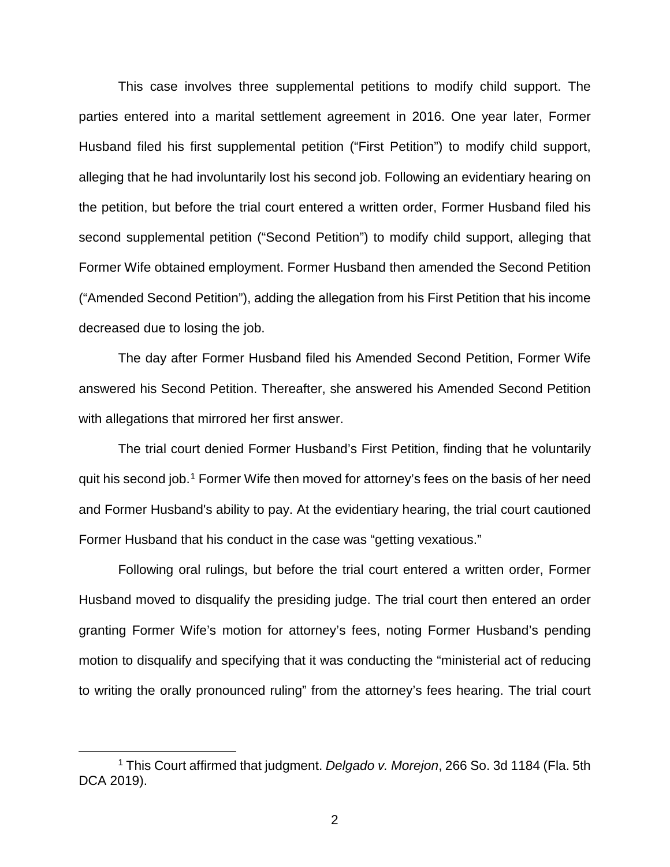This case involves three supplemental petitions to modify child support. The parties entered into a marital settlement agreement in 2016. One year later, Former Husband filed his first supplemental petition ("First Petition") to modify child support, alleging that he had involuntarily lost his second job. Following an evidentiary hearing on the petition, but before the trial court entered a written order, Former Husband filed his second supplemental petition ("Second Petition") to modify child support, alleging that Former Wife obtained employment. Former Husband then amended the Second Petition ("Amended Second Petition"), adding the allegation from his First Petition that his income decreased due to losing the job.

The day after Former Husband filed his Amended Second Petition, Former Wife answered his Second Petition. Thereafter, she answered his Amended Second Petition with allegations that mirrored her first answer.

The trial court denied Former Husband's First Petition, finding that he voluntarily quit his second job.1 Former Wife then moved for attorney's fees on the basis of her need and Former Husband's ability to pay. At the evidentiary hearing, the trial court cautioned Former Husband that his conduct in the case was "getting vexatious."

Following oral rulings, but before the trial court entered a written order, Former Husband moved to disqualify the presiding judge. The trial court then entered an order granting Former Wife's motion for attorney's fees, noting Former Husband's pending motion to disqualify and specifying that it was conducting the "ministerial act of reducing to writing the orally pronounced ruling" from the attorney's fees hearing. The trial court

 <sup>1</sup> This Court affirmed that judgment. *Delgado v. Morejon*, 266 So. 3d 1184 (Fla. 5th DCA 2019).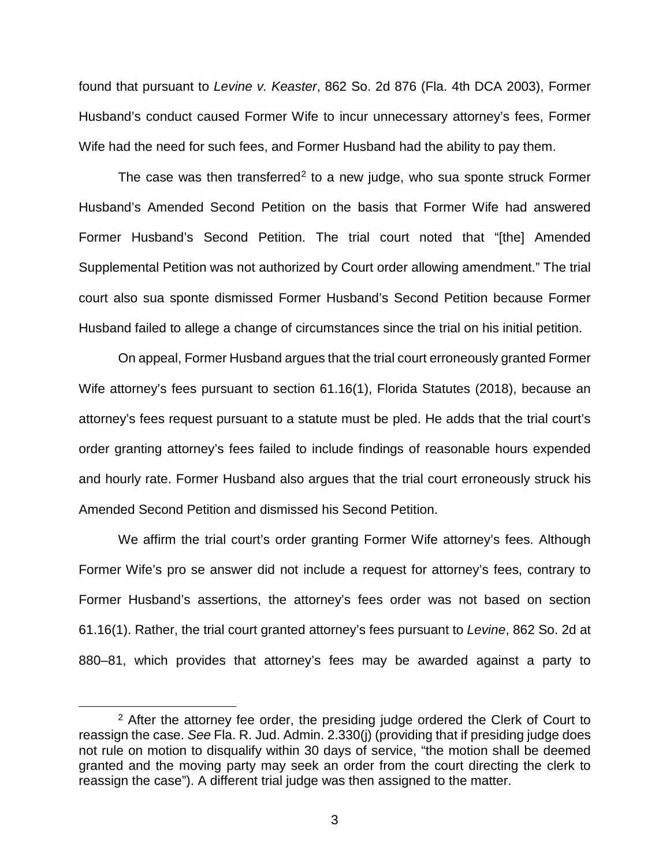found that pursuant to *Levine v. Keaster*, 862 So. 2d 876 (Fla. 4th DCA 2003), Former Husband's conduct caused Former Wife to incur unnecessary attorney's fees, Former Wife had the need for such fees, and Former Husband had the ability to pay them.

The case was then transferred<sup>2</sup> to a new judge, who sua sponte struck Former Husband's Amended Second Petition on the basis that Former Wife had answered Former Husband's Second Petition. The trial court noted that "[the] Amended Supplemental Petition was not authorized by Court order allowing amendment." The trial court also sua sponte dismissed Former Husband's Second Petition because Former Husband failed to allege a change of circumstances since the trial on his initial petition.

On appeal, Former Husband argues that the trial court erroneously granted Former Wife attorney's fees pursuant to section 61.16(1), Florida Statutes (2018), because an attorney's fees request pursuant to a statute must be pled. He adds that the trial court's order granting attorney's fees failed to include findings of reasonable hours expended and hourly rate. Former Husband also argues that the trial court erroneously struck his Amended Second Petition and dismissed his Second Petition.

We affirm the trial court's order granting Former Wife attorney's fees. Although Former Wife's pro se answer did not include a request for attorney's fees, contrary to Former Husband's assertions, the attorney's fees order was not based on section 61.16(1). Rather, the trial court granted attorney's fees pursuant to *Levine*, 862 So. 2d at 880–81, which provides that attorney's fees may be awarded against a party to

<sup>&</sup>lt;sup>2</sup> After the attorney fee order, the presiding judge ordered the Clerk of Court to reassign the case. *See* Fla. R. Jud. Admin. 2.330(j) (providing that if presiding judge does not rule on motion to disqualify within 30 days of service, "the motion shall be deemed granted and the moving party may seek an order from the court directing the clerk to reassign the case"). A different trial judge was then assigned to the matter.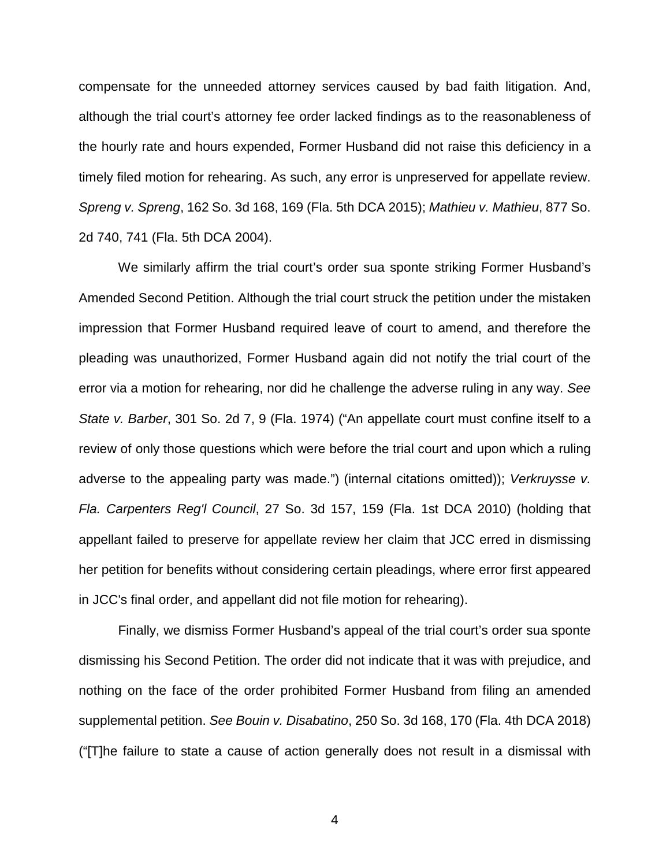compensate for the unneeded attorney services caused by bad faith litigation. And, although the trial court's attorney fee order lacked findings as to the reasonableness of the hourly rate and hours expended, Former Husband did not raise this deficiency in a timely filed motion for rehearing. As such, any error is unpreserved for appellate review. *Spreng v. Spreng*, 162 So. 3d 168, 169 (Fla. 5th DCA 2015); *Mathieu v. Mathieu*, 877 So. 2d 740, 741 (Fla. 5th DCA 2004).

We similarly affirm the trial court's order sua sponte striking Former Husband's Amended Second Petition. Although the trial court struck the petition under the mistaken impression that Former Husband required leave of court to amend, and therefore the pleading was unauthorized, Former Husband again did not notify the trial court of the error via a motion for rehearing, nor did he challenge the adverse ruling in any way. *See State v. Barber*, 301 So. 2d 7, 9 (Fla. 1974) ("An appellate court must confine itself to a review of only those questions which were before the trial court and upon which a ruling adverse to the appealing party was made.") (internal citations omitted)); *Verkruysse v. Fla. Carpenters Reg'l Council*, 27 So. 3d 157, 159 (Fla. 1st DCA 2010) (holding that appellant failed to preserve for appellate review her claim that JCC erred in dismissing her petition for benefits without considering certain pleadings, where error first appeared in JCC's final order, and appellant did not file motion for rehearing).

Finally, we dismiss Former Husband's appeal of the trial court's order sua sponte dismissing his Second Petition. The order did not indicate that it was with prejudice, and nothing on the face of the order prohibited Former Husband from filing an amended supplemental petition. *See Bouin v. Disabatino*, 250 So. 3d 168, 170 (Fla. 4th DCA 2018) ("[T]he failure to state a cause of action generally does not result in a dismissal with

4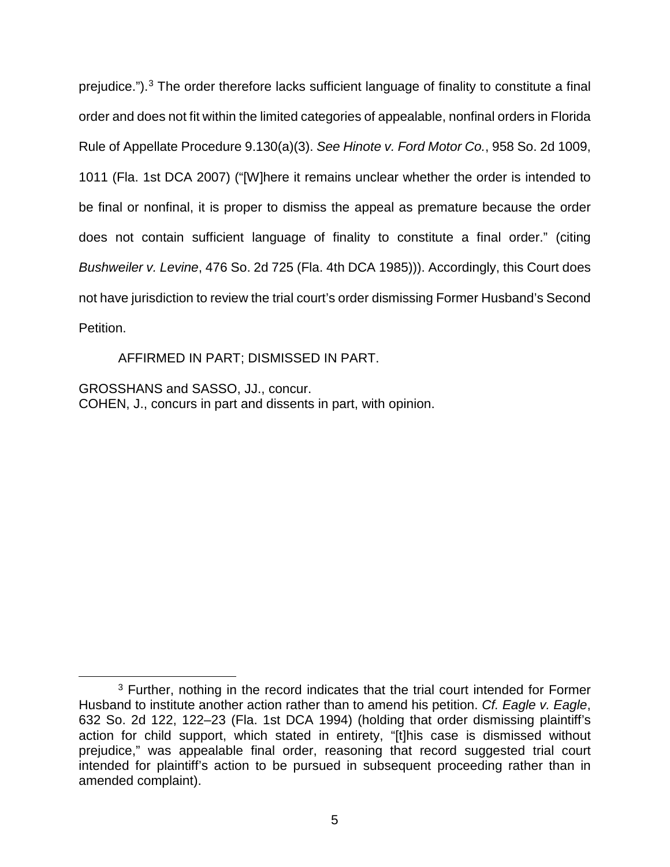prejudice.").3 The order therefore lacks sufficient language of finality to constitute a final order and does not fit within the limited categories of appealable, nonfinal orders in Florida Rule of Appellate Procedure 9.130(a)(3). *See Hinote v. Ford Motor Co.*, 958 So. 2d 1009, 1011 (Fla. 1st DCA 2007) ("[W]here it remains unclear whether the order is intended to be final or nonfinal, it is proper to dismiss the appeal as premature because the order does not contain sufficient language of finality to constitute a final order." (citing *Bushweiler v. Levine*, 476 So. 2d 725 (Fla. 4th DCA 1985))). Accordingly, this Court does not have jurisdiction to review the trial court's order dismissing Former Husband's Second Petition.

AFFIRMED IN PART; DISMISSED IN PART.

GROSSHANS and SASSO, JJ., concur. COHEN, J., concurs in part and dissents in part, with opinion.

<sup>&</sup>lt;sup>3</sup> Further, nothing in the record indicates that the trial court intended for Former Husband to institute another action rather than to amend his petition. *Cf. Eagle v. Eagle*, 632 So. 2d 122, 122–23 (Fla. 1st DCA 1994) (holding that order dismissing plaintiff's action for child support, which stated in entirety, "[t]his case is dismissed without prejudice," was appealable final order, reasoning that record suggested trial court intended for plaintiff's action to be pursued in subsequent proceeding rather than in amended complaint).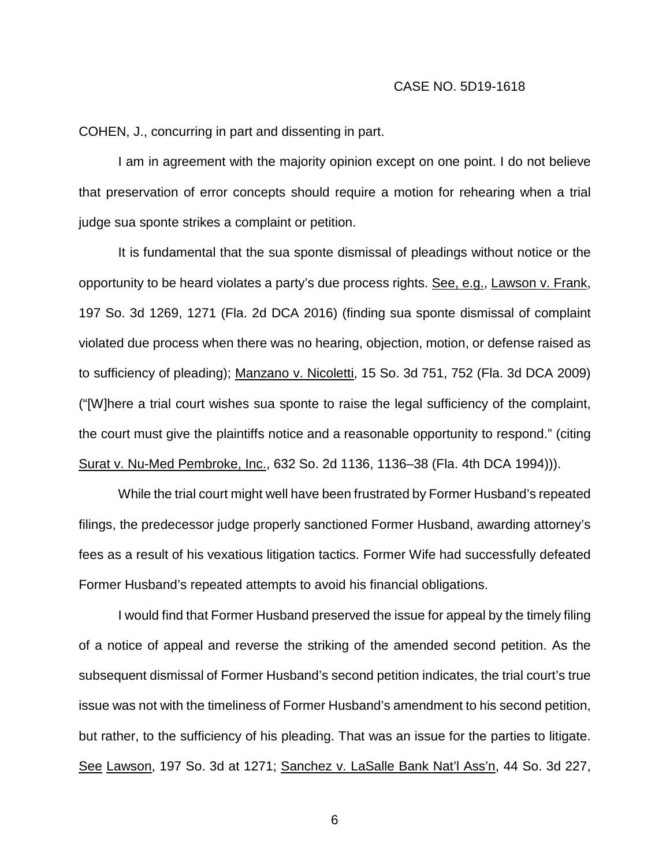COHEN, J., concurring in part and dissenting in part.

I am in agreement with the majority opinion except on one point. I do not believe that preservation of error concepts should require a motion for rehearing when a trial judge sua sponte strikes a complaint or petition.

It is fundamental that the sua sponte dismissal of pleadings without notice or the opportunity to be heard violates a party's due process rights. See, e.g., Lawson v. Frank, 197 So. 3d 1269, 1271 (Fla. 2d DCA 2016) (finding sua sponte dismissal of complaint violated due process when there was no hearing, objection, motion, or defense raised as to sufficiency of pleading); Manzano v. Nicoletti, 15 So. 3d 751, 752 (Fla. 3d DCA 2009) ("[W]here a trial court wishes sua sponte to raise the legal sufficiency of the complaint, the court must give the plaintiffs notice and a reasonable opportunity to respond." (citing Surat v. Nu-Med Pembroke, Inc., 632 So. 2d 1136, 1136–38 (Fla. 4th DCA 1994))).

While the trial court might well have been frustrated by Former Husband's repeated filings, the predecessor judge properly sanctioned Former Husband, awarding attorney's fees as a result of his vexatious litigation tactics. Former Wife had successfully defeated Former Husband's repeated attempts to avoid his financial obligations.

I would find that Former Husband preserved the issue for appeal by the timely filing of a notice of appeal and reverse the striking of the amended second petition. As the subsequent dismissal of Former Husband's second petition indicates, the trial court's true issue was not with the timeliness of Former Husband's amendment to his second petition, but rather, to the sufficiency of his pleading. That was an issue for the parties to litigate. See Lawson, 197 So. 3d at 1271; Sanchez v. LaSalle Bank Nat'l Ass'n, 44 So. 3d 227,

6